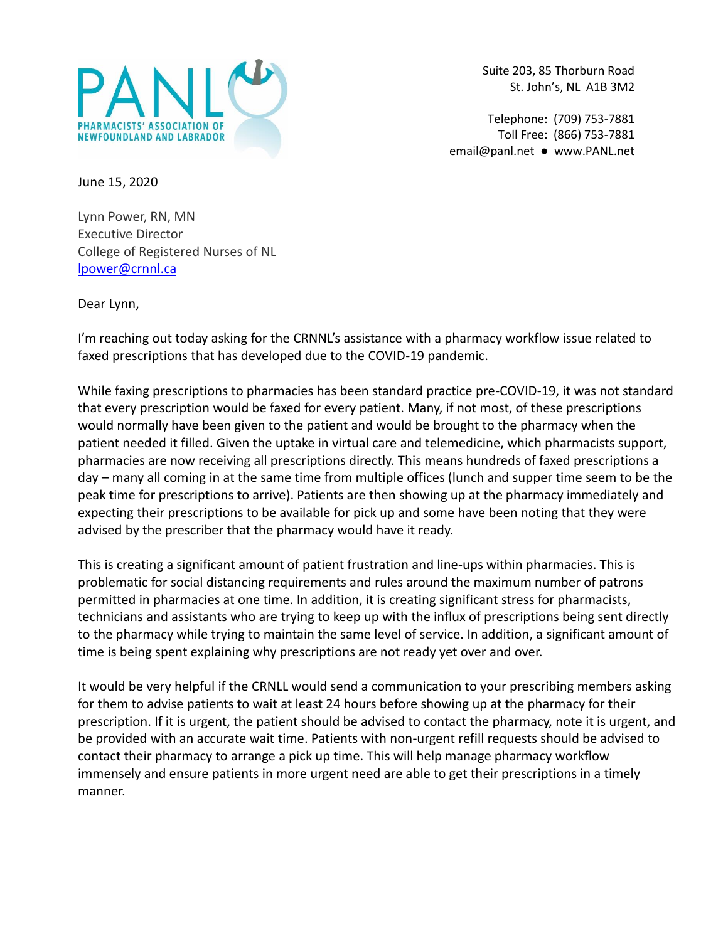

Suite 203, 85 Thorburn Road St. John's, NL A1B 3M2

Telephone: (709) 753-7881 Toll Free: (866) 753-7881 [email@panl.net](mailto:email@panl.net) ● www.PANL.net

June 15, 2020

Lynn Power, RN, MN Executive Director College of Registered Nurses of NL [lpower@crnnl.ca](mailto:lpower@arnnl.ca)

Dear Lynn,

I'm reaching out today asking for the CRNNL's assistance with a pharmacy workflow issue related to faxed prescriptions that has developed due to the COVID-19 pandemic.

While faxing prescriptions to pharmacies has been standard practice pre-COVID-19, it was not standard that every prescription would be faxed for every patient. Many, if not most, of these prescriptions would normally have been given to the patient and would be brought to the pharmacy when the patient needed it filled. Given the uptake in virtual care and telemedicine, which pharmacists support, pharmacies are now receiving all prescriptions directly. This means hundreds of faxed prescriptions a day – many all coming in at the same time from multiple offices (lunch and supper time seem to be the peak time for prescriptions to arrive). Patients are then showing up at the pharmacy immediately and expecting their prescriptions to be available for pick up and some have been noting that they were advised by the prescriber that the pharmacy would have it ready.

This is creating a significant amount of patient frustration and line-ups within pharmacies. This is problematic for social distancing requirements and rules around the maximum number of patrons permitted in pharmacies at one time. In addition, it is creating significant stress for pharmacists, technicians and assistants who are trying to keep up with the influx of prescriptions being sent directly to the pharmacy while trying to maintain the same level of service. In addition, a significant amount of time is being spent explaining why prescriptions are not ready yet over and over.

It would be very helpful if the CRNLL would send a communication to your prescribing members asking for them to advise patients to wait at least 24 hours before showing up at the pharmacy for their prescription. If it is urgent, the patient should be advised to contact the pharmacy, note it is urgent, and be provided with an accurate wait time. Patients with non-urgent refill requests should be advised to contact their pharmacy to arrange a pick up time. This will help manage pharmacy workflow immensely and ensure patients in more urgent need are able to get their prescriptions in a timely manner.